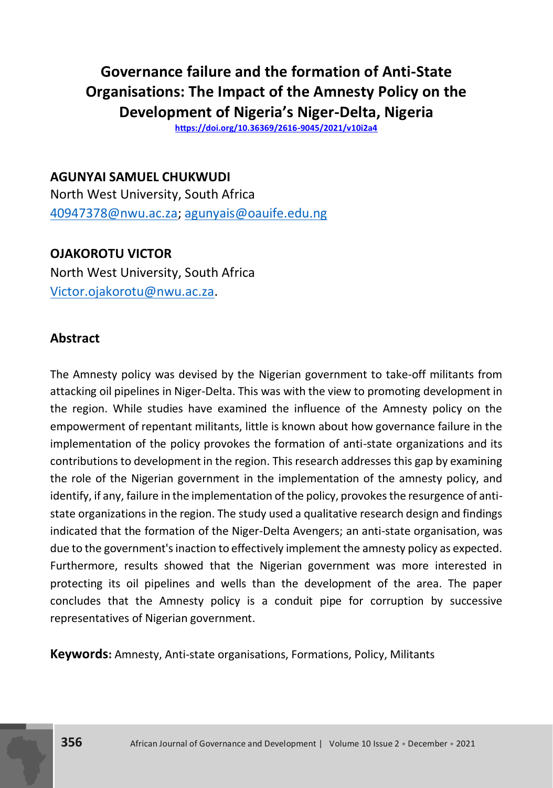# **Governance failure and the formation of Anti-State Organisations: The Impact of the Amnesty Policy on the Development of Nigeria's Niger-Delta, Nigeria**

**<https://doi.org/10.36369/2616-9045/2021/v10i2a4>**

**AGUNYAI SAMUEL CHUKWUDI** North West University, South Africa [40947378@nwu.ac.za;](mailto:40947378@nwu.ac.za) [agunyais@oauife.edu.ng](mailto:agunyais@oauife.edu.ng)

**OJAKOROTU VICTOR** North West University, South Africa [Victor.ojakorotu@nwu.ac.za.](mailto:Victor.ojakorotu@nwu.ac.za)

# **Abstract**

The Amnesty policy was devised by the Nigerian government to take-off militants from attacking oil pipelines in Niger-Delta. This was with the view to promoting development in the region. While studies have examined the influence of the Amnesty policy on the empowerment of repentant militants, little is known about how governance failure in the implementation of the policy provokes the formation of anti-state organizations and its contributions to development in the region. This research addresses this gap by examining the role of the Nigerian government in the implementation of the amnesty policy, and identify, if any, failure in the implementation of the policy, provokes the resurgence of antistate organizations in the region. The study used a qualitative research design and findings indicated that the formation of the Niger-Delta Avengers; an anti-state organisation, was due to the government's inaction to effectively implement the amnesty policy as expected. Furthermore, results showed that the Nigerian government was more interested in protecting its oil pipelines and wells than the development of the area. The paper concludes that the Amnesty policy is a conduit pipe for corruption by successive representatives of Nigerian government.

**Keywords:** Amnesty, Anti-state organisations, Formations, Policy, Militants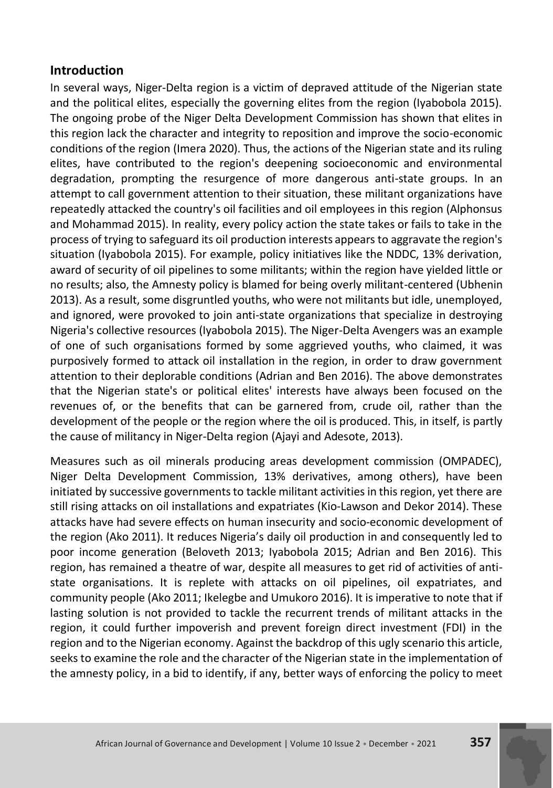### **Introduction**

In several ways, Niger-Delta region is a victim of depraved attitude of the Nigerian state and the political elites, especially the governing elites from the region (Iyabobola 2015). The ongoing probe of the Niger Delta Development Commission has shown that elites in this region lack the character and integrity to reposition and improve the socio-economic conditions of the region (Imera 2020). Thus, the actions of the Nigerian state and its ruling elites, have contributed to the region's deepening socioeconomic and environmental degradation, prompting the resurgence of more dangerous anti-state groups. In an attempt to call government attention to their situation, these militant organizations have repeatedly attacked the country's oil facilities and oil employees in this region (Alphonsus and Mohammad 2015). In reality, every policy action the state takes or fails to take in the process of trying to safeguard its oil production interests appears to aggravate the region's situation (Iyabobola 2015). For example, policy initiatives like the NDDC, 13% derivation, award of security of oil pipelines to some militants; within the region have yielded little or no results; also, the Amnesty policy is blamed for being overly militant-centered (Ubhenin 2013). As a result, some disgruntled youths, who were not militants but idle, unemployed, and ignored, were provoked to join anti-state organizations that specialize in destroying Nigeria's collective resources (Iyabobola 2015). The Niger-Delta Avengers was an example of one of such organisations formed by some aggrieved youths, who claimed, it was purposively formed to attack oil installation in the region, in order to draw government attention to their deplorable conditions (Adrian and Ben 2016). The above demonstrates that the Nigerian state's or political elites' interests have always been focused on the revenues of, or the benefits that can be garnered from, crude oil, rather than the development of the people or the region where the oil is produced. This, in itself, is partly the cause of militancy in Niger-Delta region (Ajayi and Adesote, 2013).

Measures such as oil minerals producing areas development commission (OMPADEC), Niger Delta Development Commission, 13% derivatives, among others), have been initiated by successive governments to tackle militant activities in this region, yet there are still rising attacks on oil installations and expatriates (Kio-Lawson and Dekor 2014). These attacks have had severe effects on human insecurity and socio-economic development of the region (Ako 2011). It reduces Nigeria's daily oil production in and consequently led to poor income generation (Beloveth 2013; Iyabobola 2015; Adrian and Ben 2016). This region, has remained a theatre of war, despite all measures to get rid of activities of antistate organisations. It is replete with attacks on oil pipelines, oil expatriates, and community people (Ako 2011; Ikelegbe and Umukoro 2016). It is imperative to note that if lasting solution is not provided to tackle the recurrent trends of militant attacks in the region, it could further impoverish and prevent foreign direct investment (FDI) in the region and to the Nigerian economy. Against the backdrop of this ugly scenario this article, seeks to examine the role and the character of the Nigerian state in the implementation of the amnesty policy, in a bid to identify, if any, better ways of enforcing the policy to meet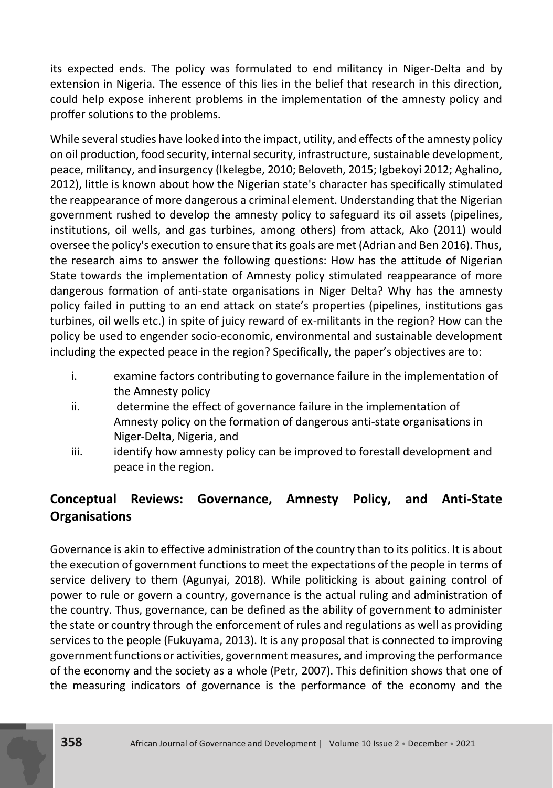its expected ends. The policy was formulated to end militancy in Niger-Delta and by extension in Nigeria. The essence of this lies in the belief that research in this direction, could help expose inherent problems in the implementation of the amnesty policy and proffer solutions to the problems.

While several studies have looked into the impact, utility, and effects of the amnesty policy on oil production, food security, internal security, infrastructure, sustainable development, peace, militancy, and insurgency (Ikelegbe, 2010; Beloveth, 2015; Igbekoyi 2012; Aghalino, 2012), little is known about how the Nigerian state's character has specifically stimulated the reappearance of more dangerous a criminal element. Understanding that the Nigerian government rushed to develop the amnesty policy to safeguard its oil assets (pipelines, institutions, oil wells, and gas turbines, among others) from attack, Ako (2011) would oversee the policy's execution to ensure that its goals are met (Adrian and Ben 2016). Thus, the research aims to answer the following questions: How has the attitude of Nigerian State towards the implementation of Amnesty policy stimulated reappearance of more dangerous formation of anti-state organisations in Niger Delta? Why has the amnesty policy failed in putting to an end attack on state's properties (pipelines, institutions gas turbines, oil wells etc.) in spite of juicy reward of ex-militants in the region? How can the policy be used to engender socio-economic, environmental and sustainable development including the expected peace in the region? Specifically, the paper's objectives are to:

- i. examine factors contributing to governance failure in the implementation of the Amnesty policy
- ii. determine the effect of governance failure in the implementation of Amnesty policy on the formation of dangerous anti-state organisations in Niger-Delta, Nigeria, and
- iii. iii. identify how amnesty policy can be improved to forestall development and peace in the region.

# **Conceptual Reviews: Governance, Amnesty Policy, and Anti-State Organisations**

Governance is akin to effective administration of the country than to its politics. It is about the execution of government functions to meet the expectations of the people in terms of service delivery to them (Agunyai, 2018). While politicking is about gaining control of power to rule or govern a country, governance is the actual ruling and administration of the country. Thus, governance, can be defined as the ability of government to administer the state or country through the enforcement of rules and regulations as well as providing services to the people (Fukuyama, 2013). It is any proposal that is connected to improving government functions or activities, government measures, and improving the performance of the economy and the society as a whole (Petr, 2007). This definition shows that one of the measuring indicators of governance is the performance of the economy and the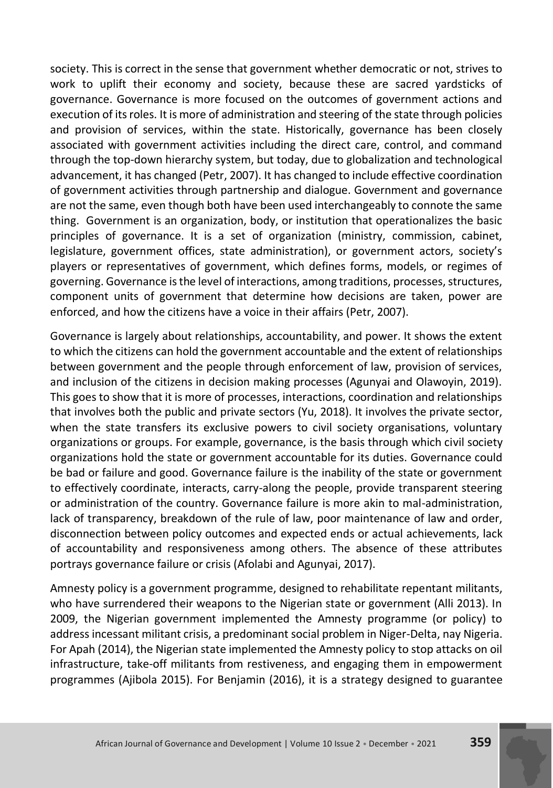society. This is correct in the sense that government whether democratic or not, strives to work to uplift their economy and society, because these are sacred yardsticks of governance. Governance is more focused on the outcomes of government actions and execution of its roles. It is more of administration and steering of the state through policies and provision of services, within the state. Historically, governance has been closely associated with government activities including the direct care, control, and command through the top-down hierarchy system, but today, due to globalization and technological advancement, it has changed (Petr, 2007). It has changed to include effective coordination of government activities through partnership and dialogue. Government and governance are not the same, even though both have been used interchangeably to connote the same thing. Government is an organization, body, or institution that operationalizes the basic principles of governance. It is a set of organization (ministry, commission, cabinet, legislature, government offices, state administration), or government actors, society's players or representatives of government, which defines forms, models, or regimes of governing. Governance is the level of interactions, among traditions, processes, structures, component units of government that determine how decisions are taken, power are enforced, and how the citizens have a voice in their affairs (Petr, 2007).

Governance is largely about relationships, accountability, and power. It shows the extent to which the citizens can hold the government accountable and the extent of relationships between government and the people through enforcement of law, provision of services, and inclusion of the citizens in decision making processes (Agunyai and Olawoyin, 2019). This goes to show that it is more of processes, interactions, coordination and relationships that involves both the public and private sectors (Yu, 2018). It involves the private sector, when the state transfers its exclusive powers to civil society organisations, voluntary organizations or groups. For example, governance, is the basis through which civil society organizations hold the state or government accountable for its duties. Governance could be bad or failure and good. Governance failure is the inability of the state or government to effectively coordinate, interacts, carry-along the people, provide transparent steering or administration of the country. Governance failure is more akin to mal-administration, lack of transparency, breakdown of the rule of law, poor maintenance of law and order, disconnection between policy outcomes and expected ends or actual achievements, lack of accountability and responsiveness among others. The absence of these attributes portrays governance failure or crisis (Afolabi and Agunyai, 2017).

Amnesty policy is a government programme, designed to rehabilitate repentant militants, who have surrendered their weapons to the Nigerian state or government (Alli 2013). In 2009, the Nigerian government implemented the Amnesty programme (or policy) to address incessant militant crisis, a predominant social problem in Niger-Delta, nay Nigeria. For Apah (2014), the Nigerian state implemented the Amnesty policy to stop attacks on oil infrastructure, take-off militants from restiveness, and engaging them in empowerment programmes (Ajibola 2015). For Benjamin (2016), it is a strategy designed to guarantee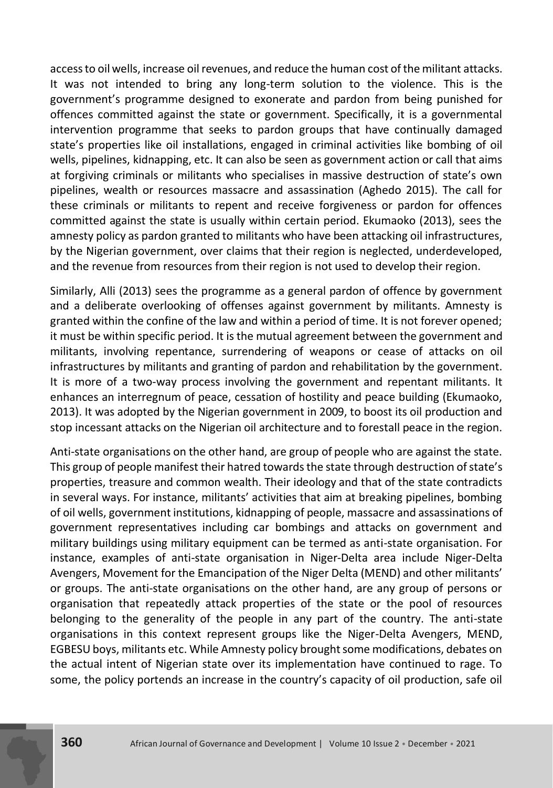access to oil wells, increase oil revenues, and reduce the human cost of the militant attacks. It was not intended to bring any long-term solution to the violence. This is the government's programme designed to exonerate and pardon from being punished for offences committed against the state or government. Specifically, it is a governmental intervention programme that seeks to pardon groups that have continually damaged state's properties like oil installations, engaged in criminal activities like bombing of oil wells, pipelines, kidnapping, etc. It can also be seen as government action or call that aims at forgiving criminals or militants who specialises in massive destruction of state's own pipelines, wealth or resources massacre and assassination (Aghedo 2015). The call for these criminals or militants to repent and receive forgiveness or pardon for offences committed against the state is usually within certain period. Ekumaoko (2013), sees the amnesty policy as pardon granted to militants who have been attacking oil infrastructures, by the Nigerian government, over claims that their region is neglected, underdeveloped, and the revenue from resources from their region is not used to develop their region.

Similarly, Alli (2013) sees the programme as a general pardon of offence by government and a deliberate overlooking of offenses against government by militants. Amnesty is granted within the confine of the law and within a period of time. It is not forever opened; it must be within specific period. It is the mutual agreement between the government and militants, involving repentance, surrendering of weapons or cease of attacks on oil infrastructures by militants and granting of pardon and rehabilitation by the government. It is more of a two-way process involving the government and repentant militants. It enhances an interregnum of peace, cessation of hostility and peace building (Ekumaoko, 2013). It was adopted by the Nigerian government in 2009, to boost its oil production and stop incessant attacks on the Nigerian oil architecture and to forestall peace in the region.

Anti-state organisations on the other hand, are group of people who are against the state. This group of people manifest their hatred towards the state through destruction of state's properties, treasure and common wealth. Their ideology and that of the state contradicts in several ways. For instance, militants' activities that aim at breaking pipelines, bombing of oil wells, government institutions, kidnapping of people, massacre and assassinations of government representatives including car bombings and attacks on government and military buildings using military equipment can be termed as anti-state organisation. For instance, examples of anti-state organisation in Niger-Delta area include Niger-Delta Avengers, Movement for the Emancipation of the Niger Delta (MEND) and other militants' or groups. The anti-state organisations on the other hand, are any group of persons or organisation that repeatedly attack properties of the state or the pool of resources belonging to the generality of the people in any part of the country. The anti-state organisations in this context represent groups like the Niger-Delta Avengers, MEND, EGBESU boys, militants etc. While Amnesty policy brought some modifications, debates on the actual intent of Nigerian state over its implementation have continued to rage. To some, the policy portends an increase in the country's capacity of oil production, safe oil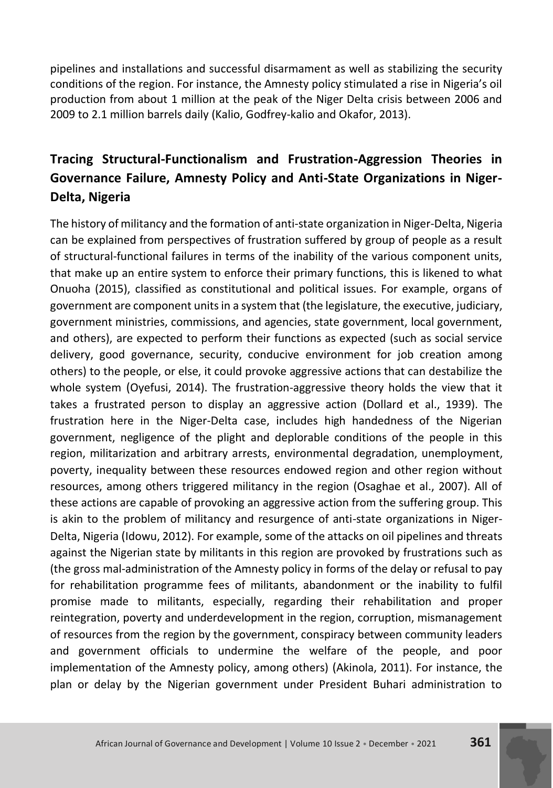pipelines and installations and successful disarmament as well as stabilizing the security conditions of the region. For instance, the Amnesty policy stimulated a rise in Nigeria's oil production from about 1 million at the peak of the Niger Delta crisis between 2006 and 2009 to 2.1 million barrels daily (Kalio, Godfrey-kalio and Okafor, 2013).

# **Tracing Structural-Functionalism and Frustration-Aggression Theories in Governance Failure, Amnesty Policy and Anti-State Organizations in Niger-Delta, Nigeria**

The history of militancy and the formation of anti-state organization in Niger-Delta, Nigeria can be explained from perspectives of frustration suffered by group of people as a result of structural-functional failures in terms of the inability of the various component units, that make up an entire system to enforce their primary functions, this is likened to what Onuoha (2015), classified as constitutional and political issues. For example, organs of government are component units in a system that (the legislature, the executive, judiciary, government ministries, commissions, and agencies, state government, local government, and others), are expected to perform their functions as expected (such as social service delivery, good governance, security, conducive environment for job creation among others) to the people, or else, it could provoke aggressive actions that can destabilize the whole system (Oyefusi, 2014). The frustration-aggressive theory holds the view that it takes a frustrated person to display an aggressive action (Dollard et al., 1939). The frustration here in the Niger-Delta case, includes high handedness of the Nigerian government, negligence of the plight and deplorable conditions of the people in this region, militarization and arbitrary arrests, environmental degradation, unemployment, poverty, inequality between these resources endowed region and other region without resources, among others triggered militancy in the region (Osaghae et al., 2007). All of these actions are capable of provoking an aggressive action from the suffering group. This is akin to the problem of militancy and resurgence of anti-state organizations in Niger-Delta, Nigeria (Idowu, 2012). For example, some of the attacks on oil pipelines and threats against the Nigerian state by militants in this region are provoked by frustrations such as (the gross mal-administration of the Amnesty policy in forms of the delay or refusal to pay for rehabilitation programme fees of militants, abandonment or the inability to fulfil promise made to militants, especially, regarding their rehabilitation and proper reintegration, poverty and underdevelopment in the region, corruption, mismanagement of resources from the region by the government, conspiracy between community leaders and government officials to undermine the welfare of the people, and poor implementation of the Amnesty policy, among others) (Akinola, 2011). For instance, the plan or delay by the Nigerian government under President Buhari administration to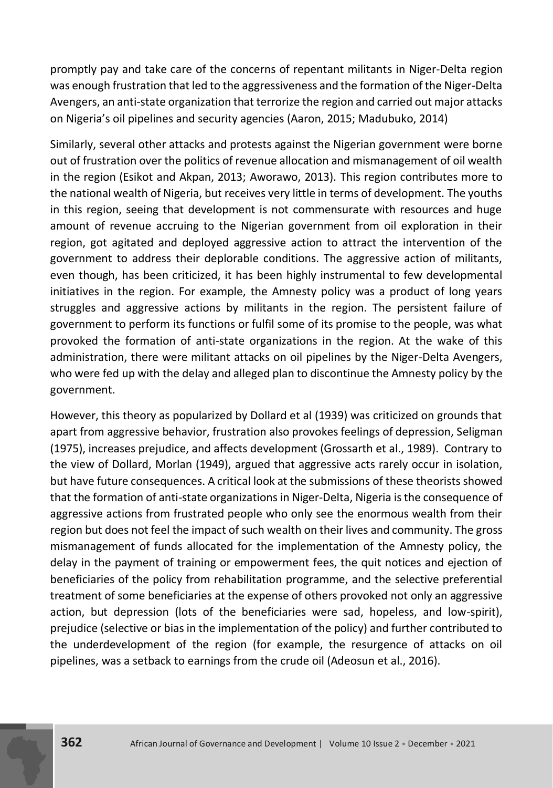promptly pay and take care of the concerns of repentant militants in Niger-Delta region was enough frustration that led to the aggressiveness and the formation of the Niger-Delta Avengers, an anti-state organization that terrorize the region and carried out major attacks on Nigeria's oil pipelines and security agencies (Aaron, 2015; Madubuko, 2014)

Similarly, several other attacks and protests against the Nigerian government were borne out of frustration over the politics of revenue allocation and mismanagement of oil wealth in the region (Esikot and Akpan, 2013; Aworawo, 2013). This region contributes more to the national wealth of Nigeria, but receives very little in terms of development. The youths in this region, seeing that development is not commensurate with resources and huge amount of revenue accruing to the Nigerian government from oil exploration in their region, got agitated and deployed aggressive action to attract the intervention of the government to address their deplorable conditions. The aggressive action of militants, even though, has been criticized, it has been highly instrumental to few developmental initiatives in the region. For example, the Amnesty policy was a product of long years struggles and aggressive actions by militants in the region. The persistent failure of government to perform its functions or fulfil some of its promise to the people, was what provoked the formation of anti-state organizations in the region. At the wake of this administration, there were militant attacks on oil pipelines by the Niger-Delta Avengers, who were fed up with the delay and alleged plan to discontinue the Amnesty policy by the government.

However, this theory as popularized by Dollard et al (1939) was criticized on grounds that apart from aggressive behavior, frustration also provokes feelings of depression, Seligman (1975), increases prejudice, and affects development (Grossarth et al., 1989). Contrary to the view of Dollard, Morlan (1949), argued that aggressive acts rarely occur in isolation, but have future consequences. A critical look at the submissions of these theorists showed that the formation of anti-state organizations in Niger-Delta, Nigeria is the consequence of aggressive actions from frustrated people who only see the enormous wealth from their region but does not feel the impact of such wealth on their lives and community. The gross mismanagement of funds allocated for the implementation of the Amnesty policy, the delay in the payment of training or empowerment fees, the quit notices and ejection of beneficiaries of the policy from rehabilitation programme, and the selective preferential treatment of some beneficiaries at the expense of others provoked not only an aggressive action, but depression (lots of the beneficiaries were sad, hopeless, and low-spirit), prejudice (selective or bias in the implementation of the policy) and further contributed to the underdevelopment of the region (for example, the resurgence of attacks on oil pipelines, was a setback to earnings from the crude oil (Adeosun et al., 2016).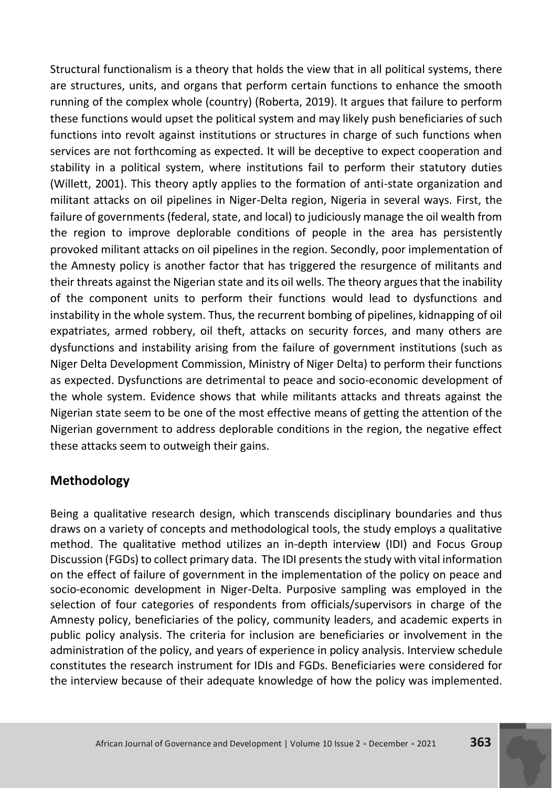Structural functionalism is a theory that holds the view that in all political systems, there are structures, units, and organs that perform certain functions to enhance the smooth running of the complex whole (country) (Roberta, 2019). It argues that failure to perform these functions would upset the political system and may likely push beneficiaries of such functions into revolt against institutions or structures in charge of such functions when services are not forthcoming as expected. It will be deceptive to expect cooperation and stability in a political system, where institutions fail to perform their statutory duties (Willett, 2001). This theory aptly applies to the formation of anti-state organization and militant attacks on oil pipelines in Niger-Delta region, Nigeria in several ways. First, the failure of governments (federal, state, and local) to judiciously manage the oil wealth from the region to improve deplorable conditions of people in the area has persistently provoked militant attacks on oil pipelines in the region. Secondly, poor implementation of the Amnesty policy is another factor that has triggered the resurgence of militants and their threats against the Nigerian state and its oil wells. The theory argues that the inability of the component units to perform their functions would lead to dysfunctions and instability in the whole system. Thus, the recurrent bombing of pipelines, kidnapping of oil expatriates, armed robbery, oil theft, attacks on security forces, and many others are dysfunctions and instability arising from the failure of government institutions (such as Niger Delta Development Commission, Ministry of Niger Delta) to perform their functions as expected. Dysfunctions are detrimental to peace and socio-economic development of the whole system. Evidence shows that while militants attacks and threats against the Nigerian state seem to be one of the most effective means of getting the attention of the Nigerian government to address deplorable conditions in the region, the negative effect these attacks seem to outweigh their gains.

# **Methodology**

Being a qualitative research design, which transcends disciplinary boundaries and thus draws on a variety of concepts and methodological tools, the study employs a qualitative method. The qualitative method utilizes an in-depth interview (IDI) and Focus Group Discussion (FGDs) to collect primary data. The IDI presents the study with vital information on the effect of failure of government in the implementation of the policy on peace and socio-economic development in Niger-Delta. Purposive sampling was employed in the selection of four categories of respondents from officials/supervisors in charge of the Amnesty policy, beneficiaries of the policy, community leaders, and academic experts in public policy analysis. The criteria for inclusion are beneficiaries or involvement in the administration of the policy, and years of experience in policy analysis. Interview schedule constitutes the research instrument for IDIs and FGDs. Beneficiaries were considered for the interview because of their adequate knowledge of how the policy was implemented.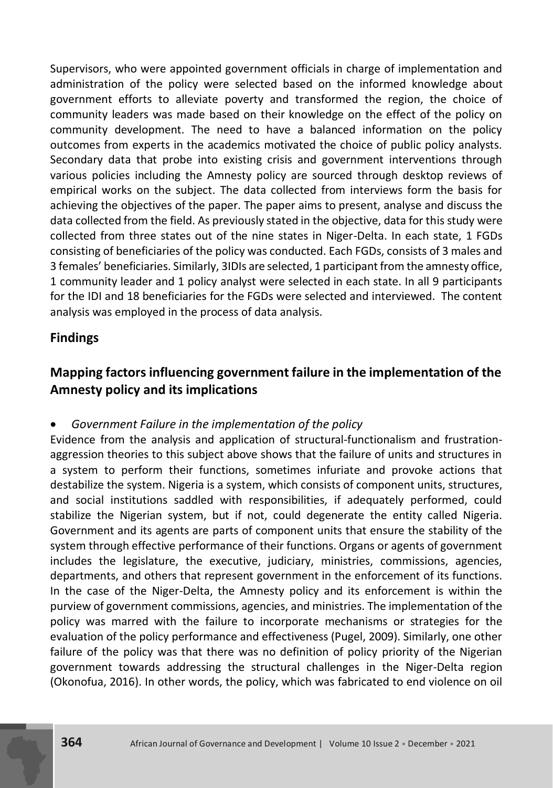Supervisors, who were appointed government officials in charge of implementation and administration of the policy were selected based on the informed knowledge about government efforts to alleviate poverty and transformed the region, the choice of community leaders was made based on their knowledge on the effect of the policy on community development. The need to have a balanced information on the policy outcomes from experts in the academics motivated the choice of public policy analysts. Secondary data that probe into existing crisis and government interventions through various policies including the Amnesty policy are sourced through desktop reviews of empirical works on the subject. The data collected from interviews form the basis for achieving the objectives of the paper. The paper aims to present, analyse and discuss the data collected from the field. As previously stated in the objective, data for this study were collected from three states out of the nine states in Niger-Delta. In each state, 1 FGDs consisting of beneficiaries of the policy was conducted. Each FGDs, consists of 3 males and 3 females' beneficiaries. Similarly, 3IDIs are selected, 1 participant from the amnesty office, 1 community leader and 1 policy analyst were selected in each state. In all 9 participants for the IDI and 18 beneficiaries for the FGDs were selected and interviewed. The content analysis was employed in the process of data analysis.

# **Findings**

# **Mapping factors influencing government failure in the implementation of the Amnesty policy and its implications**

### *Government Failure in the implementation of the policy*

Evidence from the analysis and application of structural-functionalism and frustrationaggression theories to this subject above shows that the failure of units and structures in a system to perform their functions, sometimes infuriate and provoke actions that destabilize the system. Nigeria is a system, which consists of component units, structures, and social institutions saddled with responsibilities, if adequately performed, could stabilize the Nigerian system, but if not, could degenerate the entity called Nigeria. Government and its agents are parts of component units that ensure the stability of the system through effective performance of their functions. Organs or agents of government includes the legislature, the executive, judiciary, ministries, commissions, agencies, departments, and others that represent government in the enforcement of its functions. In the case of the Niger-Delta, the Amnesty policy and its enforcement is within the purview of government commissions, agencies, and ministries. The implementation of the policy was marred with the failure to incorporate mechanisms or strategies for the evaluation of the policy performance and effectiveness (Pugel, 2009). Similarly, one other failure of the policy was that there was no definition of policy priority of the Nigerian government towards addressing the structural challenges in the Niger-Delta region (Okonofua, 2016). In other words, the policy, which was fabricated to end violence on oil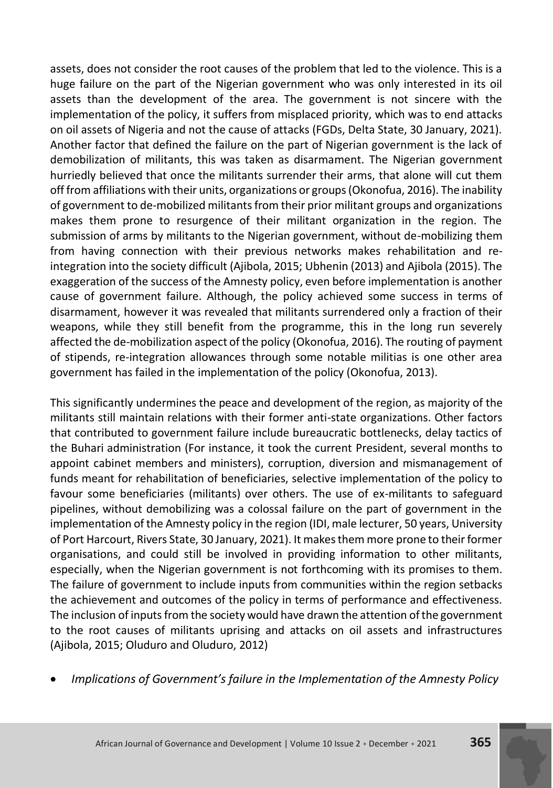assets, does not consider the root causes of the problem that led to the violence. This is a huge failure on the part of the Nigerian government who was only interested in its oil assets than the development of the area. The government is not sincere with the implementation of the policy, it suffers from misplaced priority, which was to end attacks on oil assets of Nigeria and not the cause of attacks (FGDs, Delta State, 30 January, 2021). Another factor that defined the failure on the part of Nigerian government is the lack of demobilization of militants, this was taken as disarmament. The Nigerian government hurriedly believed that once the militants surrender their arms, that alone will cut them off from affiliations with their units, organizations or groups (Okonofua, 2016). The inability of government to de-mobilized militants from their prior militant groups and organizations makes them prone to resurgence of their militant organization in the region. The submission of arms by militants to the Nigerian government, without de-mobilizing them from having connection with their previous networks makes rehabilitation and reintegration into the society difficult (Ajibola, 2015; Ubhenin (2013) and Ajibola (2015). The exaggeration of the success of the Amnesty policy, even before implementation is another cause of government failure. Although, the policy achieved some success in terms of disarmament, however it was revealed that militants surrendered only a fraction of their weapons, while they still benefit from the programme, this in the long run severely affected the de-mobilization aspect of the policy (Okonofua, 2016). The routing of payment of stipends, re-integration allowances through some notable militias is one other area government has failed in the implementation of the policy (Okonofua, 2013).

This significantly undermines the peace and development of the region, as majority of the militants still maintain relations with their former anti-state organizations. Other factors that contributed to government failure include bureaucratic bottlenecks, delay tactics of the Buhari administration (For instance, it took the current President, several months to appoint cabinet members and ministers), corruption, diversion and mismanagement of funds meant for rehabilitation of beneficiaries, selective implementation of the policy to favour some beneficiaries (militants) over others. The use of ex-militants to safeguard pipelines, without demobilizing was a colossal failure on the part of government in the implementation of the Amnesty policy in the region (IDI, male lecturer, 50 years, University of Port Harcourt, Rivers State, 30 January, 2021). It makes them more prone to their former organisations, and could still be involved in providing information to other militants, especially, when the Nigerian government is not forthcoming with its promises to them. The failure of government to include inputs from communities within the region setbacks the achievement and outcomes of the policy in terms of performance and effectiveness. The inclusion of inputs from the society would have drawn the attention of the government to the root causes of militants uprising and attacks on oil assets and infrastructures (Ajibola, 2015; Oluduro and Oluduro, 2012)

*Implications of Government's failure in the Implementation of the Amnesty Policy*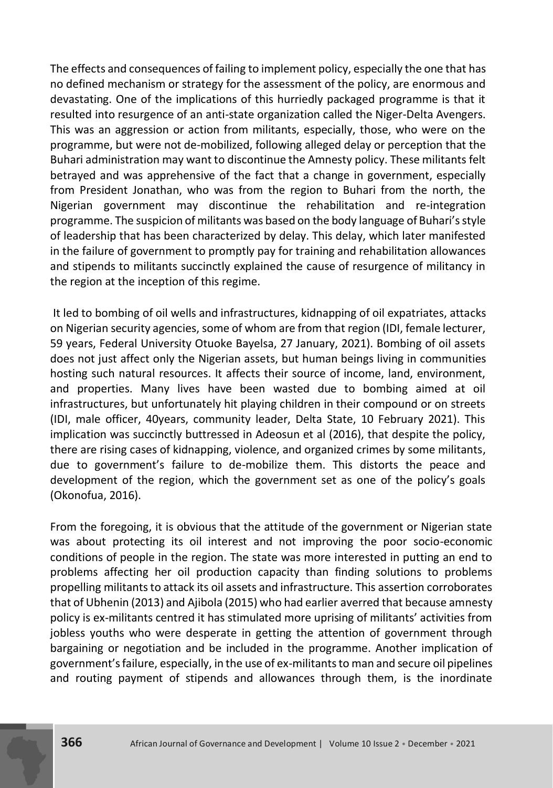The effects and consequences of failing to implement policy, especially the one that has no defined mechanism or strategy for the assessment of the policy, are enormous and devastating. One of the implications of this hurriedly packaged programme is that it resulted into resurgence of an anti-state organization called the Niger-Delta Avengers. This was an aggression or action from militants, especially, those, who were on the programme, but were not de-mobilized, following alleged delay or perception that the Buhari administration may want to discontinue the Amnesty policy. These militants felt betrayed and was apprehensive of the fact that a change in government, especially from President Jonathan, who was from the region to Buhari from the north, the Nigerian government may discontinue the rehabilitation and re-integration programme. The suspicion of militants was based on the body language of Buhari's style of leadership that has been characterized by delay. This delay, which later manifested in the failure of government to promptly pay for training and rehabilitation allowances and stipends to militants succinctly explained the cause of resurgence of militancy in the region at the inception of this regime.

It led to bombing of oil wells and infrastructures, kidnapping of oil expatriates, attacks on Nigerian security agencies, some of whom are from that region (IDI, female lecturer, 59 years, Federal University Otuoke Bayelsa, 27 January, 2021). Bombing of oil assets does not just affect only the Nigerian assets, but human beings living in communities hosting such natural resources. It affects their source of income, land, environment, and properties. Many lives have been wasted due to bombing aimed at oil infrastructures, but unfortunately hit playing children in their compound or on streets (IDI, male officer, 40years, community leader, Delta State, 10 February 2021). This implication was succinctly buttressed in Adeosun et al (2016), that despite the policy, there are rising cases of kidnapping, violence, and organized crimes by some militants, due to government's failure to de-mobilize them. This distorts the peace and development of the region, which the government set as one of the policy's goals (Okonofua, 2016).

From the foregoing, it is obvious that the attitude of the government or Nigerian state was about protecting its oil interest and not improving the poor socio-economic conditions of people in the region. The state was more interested in putting an end to problems affecting her oil production capacity than finding solutions to problems propelling militants to attack its oil assets and infrastructure. This assertion corroborates that of Ubhenin (2013) and Ajibola (2015) who had earlier averred that because amnesty policy is ex-militants centred it has stimulated more uprising of militants' activities from jobless youths who were desperate in getting the attention of government through bargaining or negotiation and be included in the programme. Another implication of government's failure, especially, in the use of ex-militants to man and secure oil pipelines and routing payment of stipends and allowances through them, is the inordinate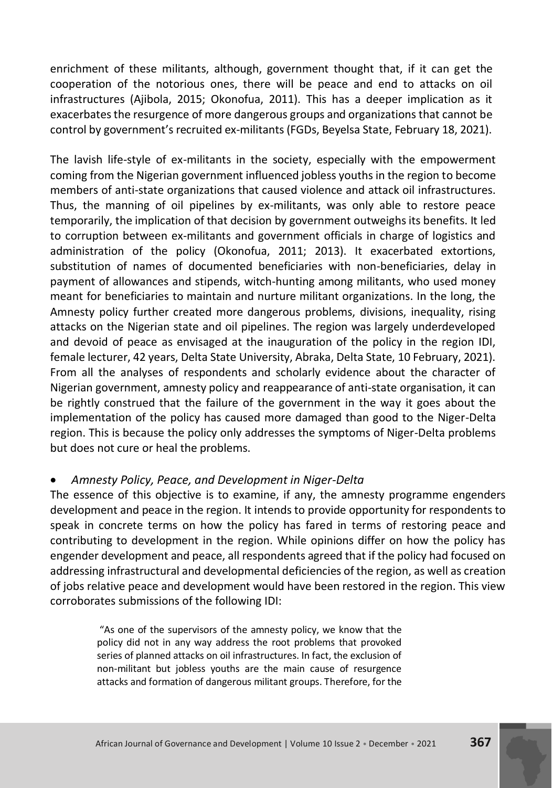enrichment of these militants, although, government thought that, if it can get the cooperation of the notorious ones, there will be peace and end to attacks on oil infrastructures (Ajibola, 2015; Okonofua, 2011). This has a deeper implication as it exacerbates the resurgence of more dangerous groups and organizations that cannot be control by government's recruited ex-militants (FGDs, Beyelsa State, February 18, 2021).

The lavish life-style of ex-militants in the society, especially with the empowerment coming from the Nigerian government influenced jobless youths in the region to become members of anti-state organizations that caused violence and attack oil infrastructures. Thus, the manning of oil pipelines by ex-militants, was only able to restore peace temporarily, the implication of that decision by government outweighs its benefits. It led to corruption between ex-militants and government officials in charge of logistics and administration of the policy (Okonofua, 2011; 2013). It exacerbated extortions, substitution of names of documented beneficiaries with non-beneficiaries, delay in payment of allowances and stipends, witch-hunting among militants, who used money meant for beneficiaries to maintain and nurture militant organizations. In the long, the Amnesty policy further created more dangerous problems, divisions, inequality, rising attacks on the Nigerian state and oil pipelines. The region was largely underdeveloped and devoid of peace as envisaged at the inauguration of the policy in the region IDI, female lecturer, 42 years, Delta State University, Abraka, Delta State, 10 February, 2021). From all the analyses of respondents and scholarly evidence about the character of Nigerian government, amnesty policy and reappearance of anti-state organisation, it can be rightly construed that the failure of the government in the way it goes about the implementation of the policy has caused more damaged than good to the Niger-Delta region. This is because the policy only addresses the symptoms of Niger-Delta problems but does not cure or heal the problems.

#### *Amnesty Policy, Peace, and Development in Niger-Delta*

The essence of this objective is to examine, if any, the amnesty programme engenders development and peace in the region. It intends to provide opportunity for respondents to speak in concrete terms on how the policy has fared in terms of restoring peace and contributing to development in the region. While opinions differ on how the policy has engender development and peace, all respondents agreed that if the policy had focused on addressing infrastructural and developmental deficiencies of the region, as well as creation of jobs relative peace and development would have been restored in the region. This view corroborates submissions of the following IDI:

> "As one of the supervisors of the amnesty policy, we know that the policy did not in any way address the root problems that provoked series of planned attacks on oil infrastructures. In fact, the exclusion of non-militant but jobless youths are the main cause of resurgence attacks and formation of dangerous militant groups. Therefore, for the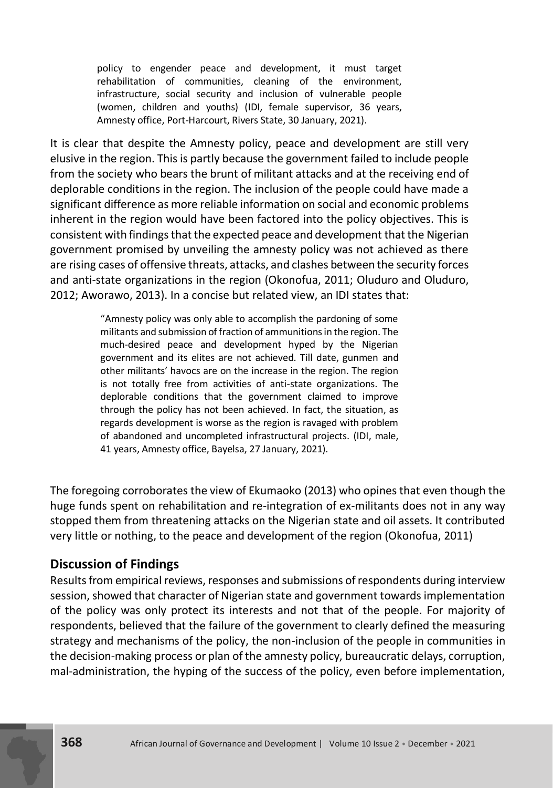policy to engender peace and development, it must target rehabilitation of communities, cleaning of the environment, infrastructure, social security and inclusion of vulnerable people (women, children and youths) (IDI, female supervisor, 36 years, Amnesty office, Port-Harcourt, Rivers State, 30 January, 2021).

It is clear that despite the Amnesty policy, peace and development are still very elusive in the region. This is partly because the government failed to include people from the society who bears the brunt of militant attacks and at the receiving end of deplorable conditions in the region. The inclusion of the people could have made a significant difference as more reliable information on social and economic problems inherent in the region would have been factored into the policy objectives. This is consistent with findings that the expected peace and development that the Nigerian government promised by unveiling the amnesty policy was not achieved as there are rising cases of offensive threats, attacks, and clashes between the security forces and anti-state organizations in the region (Okonofua, 2011; Oluduro and Oluduro, 2012; Aworawo, 2013). In a concise but related view, an IDI states that:

> "Amnesty policy was only able to accomplish the pardoning of some militants and submission of fraction of ammunitions in the region. The much-desired peace and development hyped by the Nigerian government and its elites are not achieved. Till date, gunmen and other militants' havocs are on the increase in the region. The region is not totally free from activities of anti-state organizations. The deplorable conditions that the government claimed to improve through the policy has not been achieved. In fact, the situation, as regards development is worse as the region is ravaged with problem of abandoned and uncompleted infrastructural projects. (IDI, male, 41 years, Amnesty office, Bayelsa, 27 January, 2021).

The foregoing corroborates the view of Ekumaoko (2013) who opines that even though the huge funds spent on rehabilitation and re-integration of ex-militants does not in any way stopped them from threatening attacks on the Nigerian state and oil assets. It contributed very little or nothing, to the peace and development of the region (Okonofua, 2011)

# **Discussion of Findings**

Results from empirical reviews, responses and submissions of respondents during interview session, showed that character of Nigerian state and government towards implementation of the policy was only protect its interests and not that of the people. For majority of respondents, believed that the failure of the government to clearly defined the measuring strategy and mechanisms of the policy, the non-inclusion of the people in communities in the decision-making process or plan of the amnesty policy, bureaucratic delays, corruption, mal-administration, the hyping of the success of the policy, even before implementation,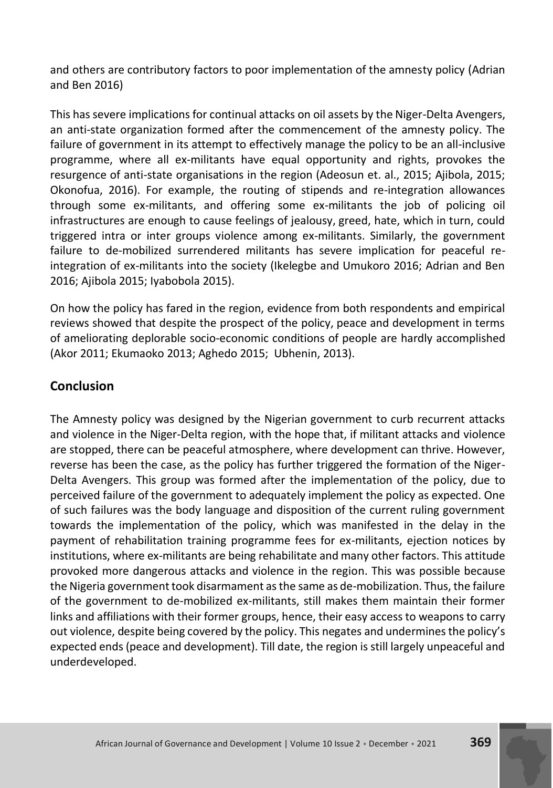and others are contributory factors to poor implementation of the amnesty policy (Adrian and Ben 2016)

This has severe implications for continual attacks on oil assets by the Niger-Delta Avengers, an anti-state organization formed after the commencement of the amnesty policy. The failure of government in its attempt to effectively manage the policy to be an all-inclusive programme, where all ex-militants have equal opportunity and rights, provokes the resurgence of anti-state organisations in the region (Adeosun et. al., 2015; Ajibola, 2015; Okonofua, 2016). For example, the routing of stipends and re-integration allowances through some ex-militants, and offering some ex-militants the job of policing oil infrastructures are enough to cause feelings of jealousy, greed, hate, which in turn, could triggered intra or inter groups violence among ex-militants. Similarly, the government failure to de-mobilized surrendered militants has severe implication for peaceful reintegration of ex-militants into the society (Ikelegbe and Umukoro 2016; Adrian and Ben 2016; Ajibola 2015; Iyabobola 2015).

On how the policy has fared in the region, evidence from both respondents and empirical reviews showed that despite the prospect of the policy, peace and development in terms of ameliorating deplorable socio-economic conditions of people are hardly accomplished (Akor 2011; Ekumaoko 2013; Aghedo 2015; Ubhenin, 2013).

# **Conclusion**

The Amnesty policy was designed by the Nigerian government to curb recurrent attacks and violence in the Niger-Delta region, with the hope that, if militant attacks and violence are stopped, there can be peaceful atmosphere, where development can thrive. However, reverse has been the case, as the policy has further triggered the formation of the Niger-Delta Avengers. This group was formed after the implementation of the policy, due to perceived failure of the government to adequately implement the policy as expected. One of such failures was the body language and disposition of the current ruling government towards the implementation of the policy, which was manifested in the delay in the payment of rehabilitation training programme fees for ex-militants, ejection notices by institutions, where ex-militants are being rehabilitate and many other factors. This attitude provoked more dangerous attacks and violence in the region. This was possible because the Nigeria government took disarmament as the same as de-mobilization. Thus, the failure of the government to de-mobilized ex-militants, still makes them maintain their former links and affiliations with their former groups, hence, their easy access to weapons to carry out violence, despite being covered by the policy. This negates and undermines the policy's expected ends (peace and development). Till date, the region is still largely unpeaceful and underdeveloped.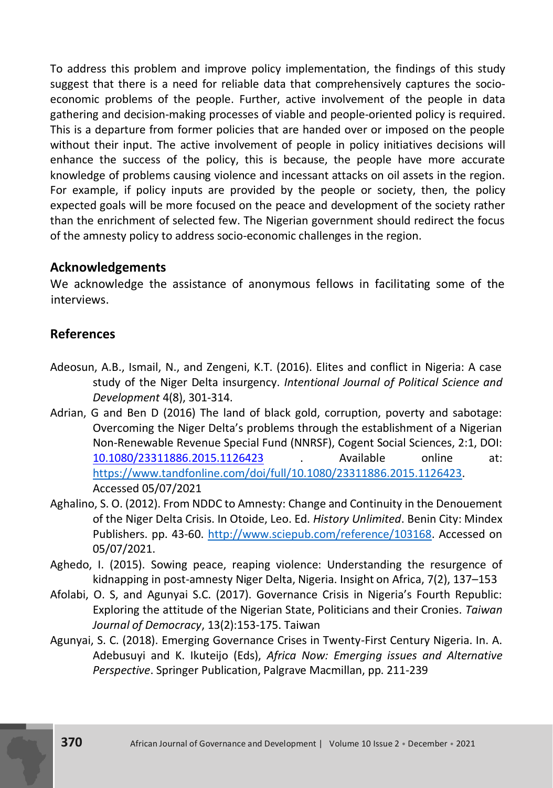To address this problem and improve policy implementation, the findings of this study suggest that there is a need for reliable data that comprehensively captures the socioeconomic problems of the people. Further, active involvement of the people in data gathering and decision-making processes of viable and people-oriented policy is required. This is a departure from former policies that are handed over or imposed on the people without their input. The active involvement of people in policy initiatives decisions will enhance the success of the policy, this is because, the people have more accurate knowledge of problems causing violence and incessant attacks on oil assets in the region. For example, if policy inputs are provided by the people or society, then, the policy expected goals will be more focused on the peace and development of the society rather than the enrichment of selected few. The Nigerian government should redirect the focus of the amnesty policy to address socio-economic challenges in the region.

### **Acknowledgements**

We acknowledge the assistance of anonymous fellows in facilitating some of the interviews.

# **References**

- Adeosun, A.B., Ismail, N., and Zengeni, K.T. (2016). Elites and conflict in Nigeria: A case study of the Niger Delta insurgency. *Intentional Journal of Political Science and Development* 4(8), 301-314.
- Adrian, G and Ben D (2016) The land of black gold, corruption, poverty and sabotage: Overcoming the Niger Delta's problems through the establishment of a Nigerian Non-Renewable Revenue Special Fund (NNRSF), Cogent Social Sciences, 2:1, DOI: [10.1080/23311886.2015.1126423](https://doi.org/10.1080/23311886.2015.1126423) . Available online at: [https://www.tandfonline.com/doi/full/10.1080/23311886.2015.1126423.](https://www.tandfonline.com/doi/full/10.1080/23311886.2015.1126423)  Accessed 05/07/2021
- Aghalino, S. O. (2012). From NDDC to Amnesty: Change and Continuity in the Denouement of the Niger Delta Crisis. In Otoide, Leo. Ed. *History Unlimited*. Benin City: Mindex Publishers. pp. 43-60. [http://www.sciepub.com/reference/103168.](http://www.sciepub.com/reference/103168) Accessed on 05/07/2021.
- Aghedo, I. (2015). Sowing peace, reaping violence: Understanding the resurgence of kidnapping in post-amnesty Niger Delta, Nigeria. Insight on Africa, 7(2), 137–153
- Afolabi, O. S, and Agunyai S.C. (2017). Governance Crisis in Nigeria's Fourth Republic: Exploring the attitude of the Nigerian State, Politicians and their Cronies. *Taiwan Journal of Democracy*, 13(2):153-175. Taiwan
- Agunyai, S. C. (2018). Emerging Governance Crises in Twenty-First Century Nigeria. In. A. Adebusuyi and K. Ikuteijo (Eds), *Africa Now: Emerging issues and Alternative Perspective*. Springer Publication, Palgrave Macmillan, pp. 211-239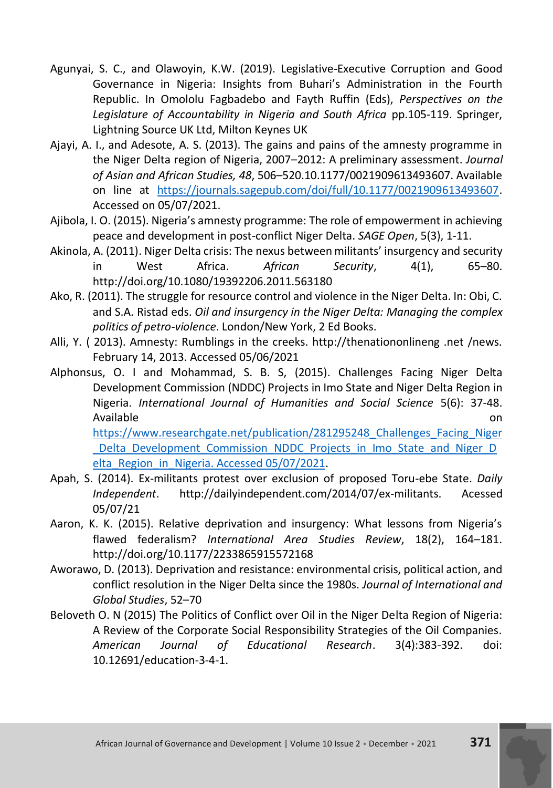- Agunyai, S. C., and Olawoyin, K.W. (2019). Legislative-Executive Corruption and Good Governance in Nigeria: Insights from Buhari's Administration in the Fourth Republic. In Omololu Fagbadebo and Fayth Ruffin (Eds), *Perspectives on the Legislature of Accountability in Nigeria and South Africa* pp.105-119. Springer, Lightning Source UK Ltd, Milton Keynes UK
- Ajayi, A. I., and Adesote, A. S. (2013). The gains and pains of the amnesty programme in the Niger Delta region of Nigeria, 2007–2012: A preliminary assessment. *Journal of Asian and African Studies, 48*, 506–520.10.1177/0021909613493607. Available on line at [https://journals.sagepub.com/doi/full/10.1177/0021909613493607.](https://journals.sagepub.com/doi/full/10.1177/0021909613493607) Accessed on 05/07/2021.
- Ajibola, I. O. (2015). Nigeria's amnesty programme: The role of empowerment in achieving peace and development in post-conflict Niger Delta. *SAGE Open*, 5(3), 1-11.
- Akinola, A. (2011). Niger Delta crisis: The nexus between militants' insurgency and security in West Africa. *African Security*, 4(1), 65–80. http://doi.org/10.1080/19392206.2011.563180
- Ako, R. (2011). The struggle for resource control and violence in the Niger Delta. In: Obi, C. and S.A. Ristad eds. *Oil and insurgency in the Niger Delta: Managing the complex politics of petro-violence*. London/New York, 2 Ed Books.
- Alli, Y. ( 2013). Amnesty: Rumblings in the creeks. http://thenationonlineng .net /news. February 14, 2013. Accessed 05/06/2021
- Alphonsus, O. I and Mohammad, S. B. S, (2015). Challenges Facing Niger Delta Development Commission (NDDC) Projects in Imo State and Niger Delta Region in Nigeria. *International Journal of Humanities and Social Science* 5(6): 37-48. Available **on** and the contract of the contract of the contract of the contract of the contract on  $\alpha$ [https://www.researchgate.net/publication/281295248\\_Challenges\\_Facing\\_Niger](https://www.researchgate.net/publication/281295248_Challenges_Facing_Niger_Delta_Development_Commission_NDDC_Projects_in_Imo_State_and_Niger_Delta_Region_in_Nigeria.%20Retrieved%2005/07/2021)

Delta Development Commission NDDC Projects in Imo State and Niger D [elta\\_Region\\_in\\_Nigeria. Accessed 05/07/2021.](https://www.researchgate.net/publication/281295248_Challenges_Facing_Niger_Delta_Development_Commission_NDDC_Projects_in_Imo_State_and_Niger_Delta_Region_in_Nigeria.%20Retrieved%2005/07/2021)

- Apah, S. (2014). Ex-militants protest over exclusion of proposed Toru-ebe State. *Daily Independent*. http://dailyindependent.com/2014/07/ex-militants. Acessed 05/07/21
- Aaron, K. K. (2015). Relative deprivation and insurgency: What lessons from Nigeria's flawed federalism? *International Area Studies Review*, 18(2), 164–181. http://doi.org/10.1177/2233865915572168
- Aworawo, D. (2013). Deprivation and resistance: environmental crisis, political action, and conflict resolution in the Niger Delta since the 1980s. *Journal of International and Global Studies*, 52–70
- Beloveth O. N (2015) The Politics of Conflict over Oil in the Niger Delta Region of Nigeria: A Review of the Corporate Social Responsibility Strategies of the Oil Companies. *American Journal of Educational Research*. 3(4):383-392. doi: 10.12691/education-3-4-1.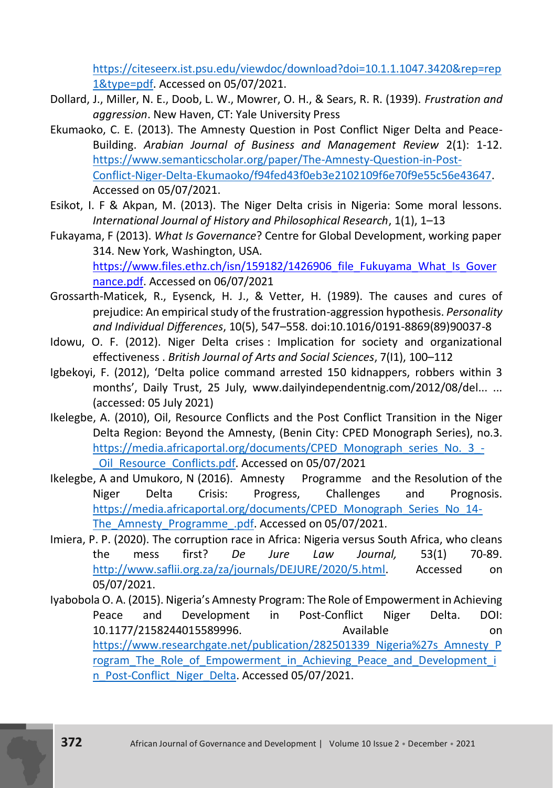[https://citeseerx.ist.psu.edu/viewdoc/download?doi=10.1.1.1047.3420&rep=rep](https://citeseerx.ist.psu.edu/viewdoc/download?doi=10.1.1.1047.3420&rep=rep1&type=pdf) [1&type=pdf.](https://citeseerx.ist.psu.edu/viewdoc/download?doi=10.1.1.1047.3420&rep=rep1&type=pdf) Accessed on 05/07/2021.

- Dollard, J., Miller, N. E., Doob, L. W., Mowrer, O. H., & Sears, R. R. (1939). *Frustration and aggression*. New Haven, CT: Yale University Press
- Ekumaoko, C. E. (2013). The Amnesty Question in Post Conflict Niger Delta and Peace-Building. *Arabian Journal of Business and Management Review* 2(1): 1-12. [https://www.semanticscholar.org/paper/The-Amnesty-Question-in-Post-](https://www.semanticscholar.org/paper/The-Amnesty-Question-in-Post-Conflict-Niger-Delta-Ekumaoko/f94fed43f0eb3e2102109f6e70f9e55c56e43647)[Conflict-Niger-Delta-Ekumaoko/f94fed43f0eb3e2102109f6e70f9e55c56e43647.](https://www.semanticscholar.org/paper/The-Amnesty-Question-in-Post-Conflict-Niger-Delta-Ekumaoko/f94fed43f0eb3e2102109f6e70f9e55c56e43647)  Accessed on 05/07/2021.
- Esikot, I. F & Akpan, M. (2013). The Niger Delta crisis in Nigeria: Some moral lessons. *International Journal of History and Philosophical Research*, 1(1), 1–13
- Fukayama, F (2013). *What Is Governance*? Centre for Global Development, working paper 314. New York, Washington, USA. [https://www.files.ethz.ch/isn/159182/1426906\\_file\\_Fukuyama\\_What\\_Is\\_Gover](https://www.files.ethz.ch/isn/159182/1426906_file_Fukuyama_What_Is_Governance.pdf) [nance.pdf.](https://www.files.ethz.ch/isn/159182/1426906_file_Fukuyama_What_Is_Governance.pdf) Accessed on 06/07/2021
- Grossarth-Maticek, R., Eysenck, H. J., & Vetter, H. (1989). The causes and cures of prejudice: An empirical study of the frustration-aggression hypothesis. *Personality and Individual Differences*, 10(5), 547–558. doi:10.1016/0191-8869(89)90037-8
- Idowu, O. F. (2012). Niger Delta crises : Implication for society and organizational effectiveness . *British Journal of Arts and Social Sciences*, 7(I1), 100–112
- Igbekoyi, F. (2012), 'Delta police command arrested 150 kidnappers, robbers within 3 months', Daily Trust, 25 July, www.dailyindependentnig.com/2012/08/del... ... (accessed: 05 July 2021)
- Ikelegbe, A. (2010), Oil, Resource Conflicts and the Post Conflict Transition in the Niger Delta Region: Beyond the Amnesty, (Benin City: CPED Monograph Series), no.3. [https://media.africaportal.org/documents/CPED\\_Monograph\\_series\\_No.\\_3\\_-](https://media.africaportal.org/documents/CPED_Monograph_series_No._3_-_Oil_Resource_Conflicts.pdf) [\\_Oil\\_Resource\\_Conflicts.pdf.](https://media.africaportal.org/documents/CPED_Monograph_series_No._3_-_Oil_Resource_Conflicts.pdf) Accessed on 05/07/2021
- Ikelegbe, A and Umukoro, N (2016). Amnesty Programme and the Resolution of the Niger Delta Crisis: Progress, Challenges and Prognosis. [https://media.africaportal.org/documents/CPED\\_Monograph\\_Series\\_No\\_14-](https://media.africaportal.org/documents/CPED_Monograph_Series_No_14-The_Amnesty_Programme_.pdf) [The\\_Amnesty\\_Programme\\_.pdf.](https://media.africaportal.org/documents/CPED_Monograph_Series_No_14-The_Amnesty_Programme_.pdf) Accessed on 05/07/2021.
- Imiera, P. P. (2020). The corruption race in Africa: Nigeria versus South Africa, who cleans the mess first? *De Jure Law Journal,* 53(1) 70-89. [http://www.saflii.org.za/za/journals/DEJURE/2020/5.html.](http://www.saflii.org.za/za/journals/DEJURE/2020/5.html) Accessed on 05/07/2021.
- Iyabobola O. A. (2015). Nigeria's Amnesty Program: The Role of Empowerment in Achieving Peace and Development in Post-Conflict Niger Delta. DOI: 10.1177/2158244015589996. Available on [https://www.researchgate.net/publication/282501339\\_Nigeria%27s\\_Amnesty\\_P](https://www.researchgate.net/publication/282501339_Nigeria%27s_Amnesty_Program_The_Role_of_Empowerment_in_Achieving_Peace_and_Development_in_Post-Conflict_Niger_Delta) rogram The Role of Empowerment in Achieving Peace and Development i n Post-Conflict Niger Delta. Accessed 05/07/2021.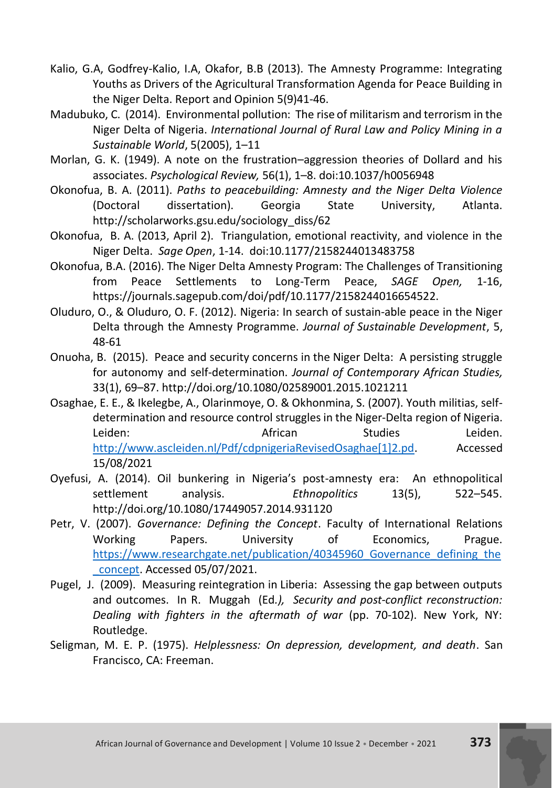- Kalio, G.A, Godfrey-Kalio, I.A, Okafor, B.B (2013). The Amnesty Programme: Integrating Youths as Drivers of the Agricultural Transformation Agenda for Peace Building in the Niger Delta. Report and Opinion 5(9)41-46.
- Madubuko, C. (2014). Environmental pollution: The rise of militarism and terrorism in the Niger Delta of Nigeria. *International Journal of Rural Law and Policy Mining in a Sustainable World*, 5(2005), 1–11
- Morlan, G. K. (1949). A note on the frustration–aggression theories of Dollard and his associates. *Psychological Review,* 56(1), 1–8. doi:10.1037/h0056948
- Okonofua, B. A. (2011). *Paths to peacebuilding: Amnesty and the Niger Delta Violence*  (Doctoral dissertation). Georgia State University, Atlanta. http://scholarworks.gsu.edu/sociology\_diss/62
- Okonofua, B. A. (2013, April 2). Triangulation, emotional reactivity, and violence in the Niger Delta. *Sage Open*, 1-14. doi:10.1177/2158244013483758
- Okonofua, B.A. (2016). The Niger Delta Amnesty Program: The Challenges of Transitioning from Peace Settlements to Long-Term Peace, *SAGE Open,* 1-16, https://journals.sagepub.com/doi/pdf/10.1177/2158244016654522.
- Oluduro, O., & Oluduro, O. F. (2012). Nigeria: In search of sustain-able peace in the Niger Delta through the Amnesty Programme. *Journal of Sustainable Development*, 5, 48-61
- Onuoha, B. (2015). Peace and security concerns in the Niger Delta: A persisting struggle for autonomy and self-determination. *Journal of Contemporary African Studies,* 33(1), 69–87. http://doi.org/10.1080/02589001.2015.1021211
- Osaghae, E. E., & Ikelegbe, A., Olarinmoye, O. & Okhonmina, S. (2007). Youth militias, selfdetermination and resource control struggles in the Niger-Delta region of Nigeria. Leiden: Contract Contract African Contract Studies Studies Leiden. [http://www.ascleiden.nl/Pdf/cdpnigeriaRevisedOsaghae\[1\]2.pd.](http://www.ascleiden.nl/Pdf/cdpnigeriaRevisedOsaghae%5b1%5d2.pd) Accessed 15/08/2021
- Oyefusi, A. (2014). Oil bunkering in Nigeria's post-amnesty era: An ethnopolitical settlement analysis. *Ethnopolitics* 13(5), 522–545. http://doi.org/10.1080/17449057.2014.931120
- Petr, V. (2007). *Governance: Defining the Concept*. Faculty of International Relations Working Papers. University of Economics, Prague. [https://www.researchgate.net/publication/40345960\\_Governance\\_defining\\_the](https://www.researchgate.net/publication/40345960_Governance_defining_the_concept) [\\_concept.](https://www.researchgate.net/publication/40345960_Governance_defining_the_concept) Accessed 05/07/2021.
- Pugel, J. (2009). Measuring reintegration in Liberia: Assessing the gap between outputs and outcomes. In R. Muggah (Ed*.), Security and post-conflict reconstruction: Dealing with fighters in the aftermath of war* (pp. 70-102). New York, NY: Routledge.
- Seligman, M. E. P. (1975). *Helplessness: On depression, development, and death*. San Francisco, CA: Freeman.